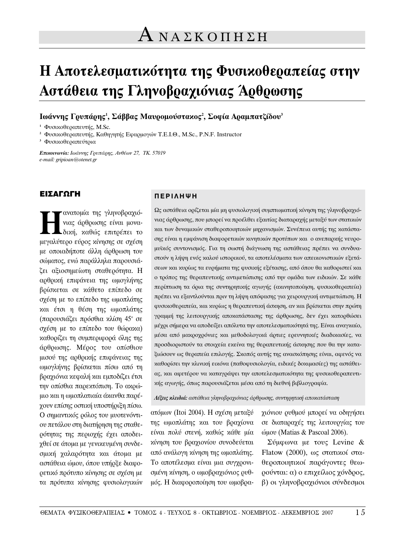# **Η Αποτελεσματικότητα της Φυσικοθεραπείας στην Δστάθεια της Γληνοβραχιόνιας Άρθρωσης**

Ιωάννης Γ**ουπά**οης<sup>1</sup>, Σάββας Μαυοομούστακος<sup>2</sup>, Σοφία Αραμπατζίδου<sup>3</sup>

<sup>1</sup> Φυσικοθεραπευτής, M.Sc.

<sup>2</sup> Φυσικοθεραπευτής, Καθηγητής Εφαρμογών Τ.Ε.Ι.Θ., M.Sc., P.N.F. Instructor

<sup>3</sup> Φυσικοθεραπεύτρια

**Επικοινωνία:** Ιωάννης Γουπάρης, Ανθέων 27, ΤΚ. 57019 *e-mail: gripioan@otenet.gr*

## **ΕΙΣΑΓΩΓΗ**

**ΤΗ** ανατομία της γληνοβραχιό-<br>*γιας άρθρωσης είναι μονα-*<br>μουαλίπερο εύρος μίπακε σε σμέση νιας άρθρωσης είναι μονα-Lδική, καθώς επιτρέπει το μεγαλύτερο εύρος κίνησης σε σχέση με οποιαδήποτε άλλη άρθρωση του σώματος, ενώ παράλληλα παρουσιάζει αξιοσημείωτη σταθερότητα. Η αρθρική επιφάνεια της ωμογλήνης βρίσκεται σε κάθετο επίπεδο σε σχέση με το επίπεδο της ωμοπλάτης και έτσι η θέση της ωμοπλάτης (παρουσιάζει πρόσθια κλίση 45° σε σχέση με το επίπεδο του θώρακα) καθορίζει τη συμπεριφορά όλης της άρθρωσης. Μέρος του οπίσθιου μισού της αρθρικής επιφάνειας της ωμογλήνης βρίσκεται πίσω από τη βραχιόνια κεφαλή και εμποδίζει έτσι την οπίσθια παρεκτόπιση. Το ακρώμιο και η ωμοπλατιαία άκανθα παρέγουν επίσης οστική υποστήριξη πίσω. Ο σημαντικός ρόλος του μυοτενόντιου πετάλου στη διατήρηση της σταθερότητας της περιοχής έχει αποδειγθεί σε άτομα με γενικευμένη συνδεσμική χαλαρότητα και άτομα με αστάθεια ώμου, όπου υπήρξε διαφορετικό πρότυπο κίνησης σε σχέση με τα πρότυπα κίνησης φυσιολογικών

### **¶∂ƒπ§∏æ∏**

Ως αστάθεια ορίζεται μία μη φυσιολογική συμπτωματική κίνηση της γληνοβραχιόνιας άρθρωσης, που μπορεί να προέλθει εξαιτίας διαταραχής μεταξύ των στατικών και των δυναμικών σταθεροποιητικών μηχανισμών. Συνέπεια αυτής της κατάστασης είναι η εμφάνιση διαφορετικών κινητικών προτύπων και ο ανεπαρκής νευρομυϊκός συντονισμός. Για τη σωστή διάγνωση της αστάθειας πρέπει να συνδυαστούν η λήψη ενός καλού ιστορικού, τα αποτελέσματα των απεικονιστικών εξετάσεων και κυρίως τα ευρήματα της φυσικής εξέτασης, από όπου θα καθοριστεί και ο τρόπος της θεραπευτικής αντιμετώπισης από την ομάδα των ειδικών. Σε κάθε περίπτωση τα όρια της συντηρητικής αγωγής (ακινητοποίηση, φυσικοθεραπεία) πρέπει να εξαντλούνται πριν τη λήψη απόφασης για χειρουργική αντιμετώπιση. Η φυσικοθεραπεία, και κυρίως η θεραπευτική άσκηση, αν και βρίσκεται στην πρώτη γραμμή της λειτουργικής αποκατάστασης της άρθρωσης, δεν έχει κατορθώσει μέχρι σήμερα να αποδείξει απόλυτα την αποτελεσματικότητά της. Είναι αναγκαίο, μέσα από μαχροχρόνιες και μεθοδολογικά άρτιες ερευνητικές διαδικασίες, να προσδιοριστούν τα στοιχεία εκείνα της θεραπευτικής άσκησης που θα την καταξιώσουν ως θεραπεία επιλογής. Σκοπός αυτής της ανασκόπησης είναι, αφενός να καθορίσει την κλινική εικόνα (παθοφυσιολογία, ειδικές δοκιμασίες) της αστάθειας, και αφετέρου να καταγράψει την αποτελεσματικότητα της φυσικοθεραπευτι*κ*ής αγωγής, όπως παρουσιάζεται μέσα από τη διεθνή βιβλιογραφία.

#### *Λέξεις κλειδιά: αστάθεια γληνοβραχιόνιας άρθρωσης, συντηρητική αποκατάσταση*

ατόμων (Itoi 2004). Η σχέση μεταξύ της ωμοπλάτης και του βραχίονα είναι πολύ στενή, καθώς κάθε μία κίνηση του βραχιονίου συνοδεύεται από ανάλογη κίνηση της ωμοπλάτης. Το αποτέλεσμα είναι μια συγχρονισμένη κίνηση, ο ωμοβραχιόνιος ρυθμός. Η διαφοροποίηση του ωμοβρα-

γιόνιου ρυθμού μπορεί να οδηγήσει σε διαταραχές της λειτουργίας του όμου (Matias & Pascoal 2006).

 $\Sigma$ ύμφωνα με τους Levine & Flatow (2000), ως στατικοί σταθεροποιητικοί παράγοντες θεωρούνται: α) ο επιχείλιος χόνδρος, β) οι γληνοβραχιόνιοι σύνδεσμοι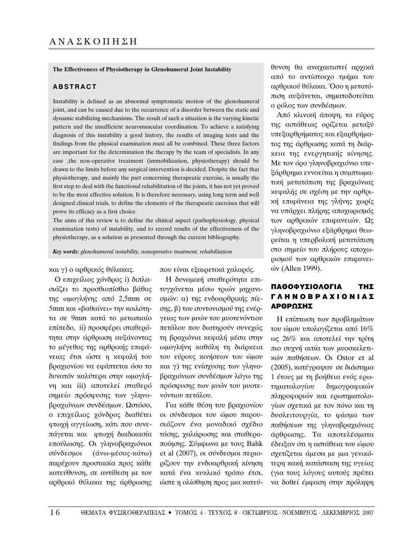#### **The Effectiveness of Physiotherapy in Glenohumeral Joint Instability**

#### **ABSTRACT**

Instability is defined as an abnormal symptomatic motion of the glenohumeral joint, and can be caused due to the occurrence of a disorder between the static and dynamic stabilizing mechanisms. The result of such a situation is the varying kinetic pattern and the insufficient neuromuscular coordination. To achieve a satisfying diagnosis of this instability a good history, the results of imaging tests and the findings from the physical examination must all be combined. These three factors are important for the determination the therapy by the team of specialists. In any case ,the non-operative treatment (immobilization, physiotherapy) should be drawn to the limits before any surgical intervention is decided. Despite the fact that physiotherapy, and mainly the part concerning therapeutic exercise, is usually the first step to deal with the functional rehabilitation of the joints, it has not yet proved to be the most effective solution. It is therefore necessary, using long term and well designed clinical trials, to define the elements of the therapeutic exercises that will prove its efficacy as a first choice.

The aims of this review is to define the clinical aspect (pathophysiology, physical examination tests) of instability, and to record results of the effectiveness of the physiotherapy, as a solution as presented through the current bibliography.

*Key words: glenohumeral instability, nonoperative treatment, rehabilitation*

#### και γ) ο αρθρικός θύλακας.

Ο επιχείλιος χόνδρος i) διπλασιάζει το προσθιοπίσθιο βάθος της ωμογλήνης από 2,5mm σε 5mm και «βαθαίνει» την κοιλότητα σε 9mm κατά το μετωπιαίο  $\epsilon$ πίπεδο, ii) προσφέρει σταθερότητα στην άρθρωση αυξάνοντας το μέγεθος της αρθρικής επιφάνειας έτσι ώστε η κεφαλή του βραχιονίου να εφάπτεται όσο το δυνατόν καλύτερα στην ωμογλήνη και iii) αποτελεί σταθερό σημείο πρόσφυσης των γληνοβραχιόνιων συνδέσμων. Ωστόσο, ο επιχείλιος χόνδρος διαθέτει φτωχή αγγείωση, κάτι που συνεπάγεται και φτωχή διαδικασία επούλωσης. Οι γληνοβραχιόνιοι σύνδεσμοι (άνω-μέσος-κάτω) παρέχουν προστασία προς κάθε κατεύθυνση, σε αντίθεση με τον αρθρικό θύλακα της άρθρωσης

που είναι εξαιρετικά γαλαρός.

Η δυναμική σταθερότητα επιτυγχάνεται μέσω τριών μηχανισμών: α) της ενδοαρθρικής πίε- $\sigma$ ης,  $\beta$ ) του συντονισμού της ενέργειας των μυών του μυοτενόντιου πετάλου που διατηρούν συνεχώς τη βραχιόνια κεφαλή μέσα στην ωμογλήνη καθόλη τη διάρκεια του εύρους κινήσεων του ώμου και γ) της ενίσχυσης των γληνοβραχιόνιων συνδέσμων λόγω της πρόσφυσης των μυών του μυοτενόντιου πετάλου.

Για κάθε θέση του βραχιονίου οι σύνδεσμοι του ώμου παρουσιάζουν ένα μοναδικό σχέδιο τάσης, χαλάρωσης και σταθεροποίησης. Σύμφωνα με τους Bahk et al  $(2007)$ , οι σύνδεσμοι περιορίζουν την ενδοαρθρική κίνηση κατά ένα κυκλικό τρόπο έτσι, ώστε η ολίσθηση προς μια κατεύθυνση θα αναχαιτιστεί αρχικά από το αντίστοιχο τμήμα του αρθρικού θύλακα. Όσο η μετατόπιση αυξάνεται, σηματοδοτείται ο ρόλος των συνδέσμων.

Aπό κλινική άποψη, το εύρος της αστάθειας ορίζεται μεταξύ υπεξαρθρήματος και εξαρθρήματος της άρθρωσης κατά τη διάρ-Χεια της ενεργητικής κίνησης. Με τον όρο γληνοβραχιόνιο υπεξάρθρημα εννοείται η συμπτωματική μετατόπιση της βραχιόνιας κεφαλής σε σχέση με την αρθρική επιφάνεια της γλήνης χωρίς να υπάρχει πλήρης αποχωρισμός των αρθρικών επιφανειών. Ως γληνοβραχιόνιο εξάρθρημα θεωρείται η υπερβολική μετατόπιση στο σημείο του πλήρους αποχωοισμού των αρθρικών επιφανει $óν$  (Allen 1999).

## ΠΑΘΟΦΥΣΙΟΛΟΓΙΑ ΤΗΣ ΓΛΗΝΟΒΡΑΧΙΟΝΙΑΣ **ΑΡΘΡΩΣΗΣ**

Η επίπτωση των προβλημάτων του ώμου υπολογίζεται από 16% ως 26% και αποτελεί την τρίτη πιο συχνή αιτία των μυοσκελετικών παθήσεων. Οι Ostor et al (2005), κατέγραψαν σε διάστημα 1 έτους με τη βοήθεια ενός ερωτηματολογίου δημογραφικών πληροφοριών και ερωτηματολογίων σχετικά με τον πόνο και τη δυσλειτουργία, το φάσμα των παθήσεων της γληνοβραχιόνιας άρθρωσης. Τα αποτελέσματα έδειξαν ότι η αστάθεια του ώμου σχετίζεται άμεσα με μια γενικότερη κακή κατάσταση της υγείας (για τους λόγους αυτούς πρέπει να δοθεί έμφαση στην πρόληψη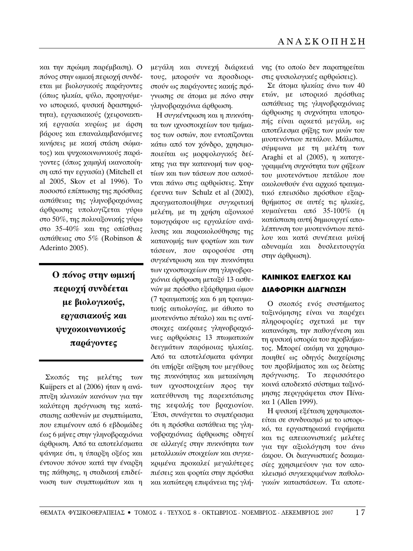και την πρώιμη παρέμβαση). Ο πόνος στην ωμική περιοχή συνδέεται με βιολογικούς παράγοντες (όπως ηλικία, φύλο, προηγούμενο ιστορικό, φυσική δραστηριότητα), εργασιακούς (χειρονακτική εργασία κυρίως με άρση βάρους και επαναλαμβανόμενες κινήσεις με κακή στάση σώματος) και ψυχοκοινωνικούς παράγοντες (όπως χαμηλή ικανοποίηση από την εργασία) (Mitchell et al 2005, Skov et al 1996). To ποσοστό επίπτωσης της πρόσθιας αστάθειας της γληνοβραχιόνιας άρθρωσης υπολογίζεται γύρω στο 50%, της πολυαξονικής γύρω στο 35-40% και της οπίσθιας αστάθειας στο 5% (Robinson & Aderinto 2005).

> **Ο πόνος στην ωμική περιοχή συνδέεται** με βιολογικούς, εργασιακούς και ψυχοκοινωνικούς **παράγοντες**

Σκοπός της μελέτης των Kuijpers et al (2006) ήταν η ανάπτυξη κλινικών κανόνων για την καλύτερη πρόγνωση της κατάστασης ασθενών με συμπτώματα, που επιμένουν από 6 εβδομάδες έως 6 μήνες στην γληνοβραχιόνια άρθρωση. Από τα αποτελέσματα φάνηκε ότι, η ύπαρξη οξέος και έντονου πόνου κατά την έναρξη της πάθησης, η σταδιακή επιδείνωση των συμπτωμάτων και η

μεγάλη και συνεχή διάρκειά τους, μπορούν να προσδιοριστούν ως παράγοντες κακής πρόγνωσης σε άτομα με πόνο στην γληνοβραχιόνια άρθρωση.

Η συγκέντρωση και η πυκνότητα των ιχνοστοιχείων του τμήματος των οστών, που εντοπίζονται κάτω από τον χόνδρο, χρησιμοποιείται ως μορφολογικός δείκτης για την κατανομή των φορτίων και των τάσεων που ασκούνται πάνω στις αρθρώσεις. Στην έρευνα των Schulz et al  $(2002)$ , πραγματοποιήθηκε συγκριτική μελέτη, με τη χρήση αξονικού τομογράφου ως εργαλείου ανάλυσης και παρακολούθησης της κατανομής των φορτίων και των τάσεων, που αφορούσε στη συγκέντρωση και την πυκνότητα των ιχνοστοιχείων στη γληνοβραχιόνια άρθρωση μεταξύ 13 ασθενών με πρόσθιο εξάρθρημα ώμου (7 τραυματικής και 6 μη τραυματικής αιτιολογίας, με άθικτο το μυοτενόντιο πέταλο) και τις αντίστοιχες ακέραιες γληνοβραχιόνιες αρθρώσεις 13 πτωματικών δειγμάτων παρόμοιας ηλικίας. Από τα αποτελέσματα φάνηκε ότι υπήρξε αύξηση του μεγέθους της πυκνότητας και μετακίνηση των ιχνοστοιχείων προς την κατεύθυνση της παρεκτόπισης της κεφαλής του βραχιονίου. Έτσι, συνάγεται το συμπέρασμα ότι η πρόσθια αστάθεια της γληνοβραχιόνιας άρθρωσης οδηγεί σε αλλαγές στην πυκνότητα των μεταλλικών στοιχείων και συγκεκριμένα προκαλεί μεγαλύτερες πιέσεις και φορτία στην πρόσθια και κατώτερη επιφάνεια της γλήνης (το οποίο δεν παρατηρείται στις φυσιολογικές αρθρώσεις).

Σε άτομα ηλικίας άνω των 40 ετών, με ιστορικό πρόσθιας αστάθειας της γληνοβραχιόνιας άρθρωσης η συχνότητα υποτροπής είναι αρκετά μεγάλη, ως αποτέλεσμα ρήξης των μυών του μυοτενόντιου πετάλου. Μάλιστα, σύμφωνα με τη μελέτη των Araghi et al  $(2005)$ ,  $\eta \nu \alpha \tau \alpha \gamma \epsilon$ γραμμένη συχνότητα των ρήξεων του μυοτενόντιου πετάλου που ακολουθούν ένα αρχικό τραυματικό επεισόδιο πρόσθιου εξαρθρήματος σε αυτές τις ηλικίες,  $x\upsilon\mu\alpha\acute{\iota}\nu$ εται από 35-100% (η κατάσταση αυτή δημιουργεί απολέπτυνση του μυοτενόντιου πετάλου και κατά συνέπεια μυϊκή αδυναμία και δυσλειτουργία στην άρθρωση).

# ΚΛΙΝΙΚΟΣ ΕΛΕΓΧΟΣ ΚΑΙ ΔΙΑΦΟΡΙΚΗ ΔΙΑΓΝΩΣΗ

Ο σκοπός ενός συστήματος ταξινόμησης είναι να παρέχει πληροφορίες σχετικά με την κατανόηση, την παθογένεση και τη φυσική ιστορία του προβλήματος. Μπορεί ακόμη να χρησιμοποιηθεί ως οδηγός διαχείρισης του προβλήματος και ως δείκτης πρόγνωσης. Το περισσότερο κοινά αποδεκτό σύστημα ταξινόμησης περιγράφεται στον Πίνα- $\alpha$  1 (Allen 1999).

Η φυσική εξέταση χρησιμοποιείται σε συνδυασμό με το ιστορικό, τα εργαστηριακά ευρήματα και τις απεικονιστικές μελέτες για την αξιολόγηση του άνω άκρου. Οι διαγνωστικές δοκιμασίες χρησιμεύουν για τον αποκλεισμό συγκεκριμένων παθολογικών καταστάσεων. Τα αποτε-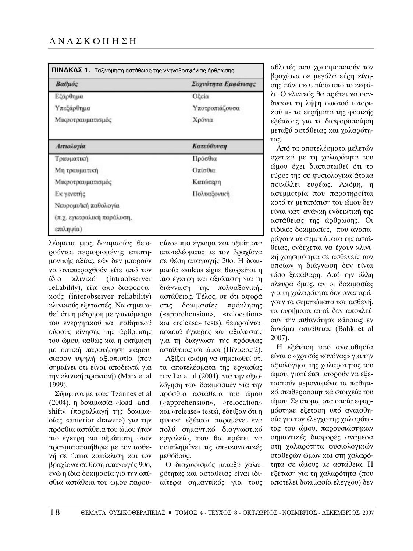| Βαθμός                     | Συχνότητα Εμφάνισης |  |  |
|----------------------------|---------------------|--|--|
| Εξάρθημα                   | Οξεία               |  |  |
| Υπεξάρθημα                 | Υποτροπιάζουσα      |  |  |
| Μικροτραυματισμός          | Χρόνια              |  |  |
| Αιτιολογία                 | Κατεύθυνση          |  |  |
| Τραυματική                 | Πρόσθια             |  |  |
| Μη τραυματική              | Οπίσθια             |  |  |
| Μικροτραυματισμός          | Κατώτερη            |  |  |
| Εκ γενετής                 | Πολυαξονική         |  |  |
| Νευρομυϊκή παθολογία       |                     |  |  |
| (π.χ. εγκεφαλική παράλυση, |                     |  |  |
| επιληψία)                  |                     |  |  |

λέσματα μιας δοκιμασίας θεωρούνται περιορισμένης επιστημονικής αξίας, εάν δεν μπορούν να αναπαραχθούν είτε από τον ίδιο κλινικό (intraobserver reliability), είτε από διαφορετι $xo$  (interobserver reliability) κλινικούς εξεταστές. Να σημειωθεί ότι η μέτρηση με γωνιόμετρο του ενεργητικού και παθητικού εύρους κίνησης της άρθρωσης του ώμου, καθώς και η εκτίμηση με οπτική παρατήρηση παρουσίασαν υψηλή αξιοπιστία (που σημαίνει ότι είναι αποδεκτά για την κλινική πρακτική) (Marx et al 1999).

Σύμφωνα με τους Tzannes et al (2004),  $\eta$  δοκιμασία «load -andshift» (παραλλαγή της δοκιμα- $\sigma$ ίας «anterior drawer») για την πρόσθια αστάθεια του ώμου ήταν πιο έγκυρη και αξιόπιστη, όταν πραγματοποιήθηκε με τον ασθενή σε ύπτια κατάκλιση και τον βραχίονα σε θέση απαγωγής 90ο, ενώ η ίδια δοκιμασία για την οπίσθια αστάθεια του ώμου παρουσίασε πιο έγκυρα και αξιόπιστα αποτελέσματα με τον βραχίονα σε θέση απαγωγής 20ο. Η δοκιμασία «sulcus sign» θεωρείται η πιο έγκυρη και αξιόπιστη για τη διάγνωση της πολυαξονικής αστάθειας. Τέλος, σε ότι αφορά στις δοκιμασίες πρόκλησης («apprehension», «relocation» και «release» tests), θεωρούνται αρκετά έγκυρες και αξιόπιστες για τη διάγνωση της πρόσθιας αστάθειας του ώμου (Πίνακας 2).

Αξίζει ακόμη να σημειωθεί ότι τα αποτελέσματα της εργασίας των Lo et al (2004), για την αξιολόγηση των δοκιμασιών για την πρόσθια αστάθεια του ώμου («apprehension», «relocation» **και «release» tests), έδειξαν ότι η** φυσική εξέταση παραμένει ένα πολύ σημαντικό διαγνωστικό εργαλείο, που θα πρέπει να συμπληρώνει τις απεικονιστικές μεθόδους.

O διαχωρισμός μεταξύ χαλαρότητας και αστάθειας είναι ιδιαίτερα σημαντικός για τους αθλητές που χρησιμοποιούν τον βραχίονα σε μεγάλα εύρη κίνησης πάνω και πίσω από το κεφάλι. Ο κλινικός θα πρέπει να συνδυάσει τη λήψη σωστού ιστορικού με τα ευρήματα της φυσικής εξέτασης για τη διαφοροποίηση μεταξύ αστάθειας και χαλαρότητας.

Aπό τα αποτελέσματα μελετών σχετικά με τη χαλαρότητα του ώμου έχει διαπιστωθεί ότι το εύρος της σε φυσιολογικά άτομα ποικίλλει ευρέως. Ακόμη, η ασυμμετρία που παρατηρείται κατά τη μετατόπιση του ώμου δεν είναι κατ' ανάγκη ενδεικτική της αστάθειας της άρθρωσης. Οι ειδικές δοκιμασίες, που αναπαράγουν τα συμπτώματα της αστάθειας, ενδέχεται να έχουν κλινική χρησιμότητα σε ασθενείς των οποίων η διάγνωση δεν είναι τόσο ξεκάθαρη. Από την άλλη πλευρά όμως, αν οι δοκιμασίες για τη χαλαρότητα δεν αναπαράγουν τα συμπτώματα του ασθενή, τα ευρήματα αυτά δεν αποκλείουν την πιθανότητα κάποιας εν δυνάμει αστάθειας (Bahk et al 2007).

Η εξέταση υπό αναισθησία είναι ο «χρυσός κανόνας» για την αξιολόγηση της χαλαρότητας του ώμου, γιατί έτσι μπορούν να εξεταστούν μεμονωμένα τα παθητικά σταθεροποιητικά στοιχεία του  $\omega$ ύμου. Σε άτομα, στα οποία εφαρμόστηκε εξέταση υπό αναισθησία για τον έλεγχο της χαλαρότητας του ώμου, παρουσιάστηκαν σημαντικές διαφορές ανάμεσα στη χαλαρότητα φυσιολογικών σταθερών ώμων και στη χαλαρότητα σε ώμους με αστάθεια. Η εξέταση για τη χαλαρότητα (που αποτελεί δοκιμασία ελέγχου) δεν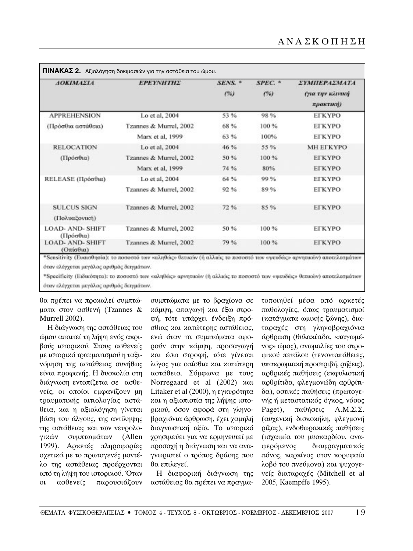| <b>AOKIMAEIA</b>                     | <b>EPEYNHTHE</b>       | SENS. *<br>(%) | $SPEC.$ *<br>(96) | <b>ΣΥΜΠΕΡΑΣΜΑΤΑ</b><br>(για την κλινική<br>πρακτική) |
|--------------------------------------|------------------------|----------------|-------------------|------------------------------------------------------|
|                                      |                        |                |                   |                                                      |
| (Πρόσθια αστάθεια)                   | Tzannes & Murrel, 2002 | 68%            | 100 %             | <b>ETKYPO</b>                                        |
|                                      | Marx et al. 1999       | 63%            | 100%              | <b>ETKYPO</b>                                        |
| <b>RELOCATION</b>                    | Lo et al. 2004         | 46 %           | 55 %              | <b>MH EFKYPO</b>                                     |
| (Πρόσθια)                            | Tzannes & Murrel, 2002 | 50%            | 100 %             | <b>ETKYPO</b>                                        |
|                                      | Marx et al, 1999       | 74 %           | 80%               | <b>ELKAPO</b>                                        |
| RELEASE (Πρόσθια)                    | Lo et al, 2004         | 64 %           | 99%               | <b>ETKYPO</b>                                        |
|                                      | Tzannes & Murrel, 2002 | 92%            | 89%               | <b>ETKYPO</b>                                        |
| <b>SULCUS SIGN</b>                   | Tzannes & Murrel, 2002 | 72%            | 85%               | <b>EFKYPO</b>                                        |
| (Πολυαξονική)                        |                        |                |                   |                                                      |
| <b>LOAD- AND- SHIFT</b><br>(Πρόσθια) | Tzannes & Murrel, 2002 | 50%            | 100 %             | <b>ELKYPO</b>                                        |
| <b>LOAD- AND- SHIFT</b><br>(Οπίσθια) | Tzannes & Murrel, 2002 | 79%            | 100 %             | <b>ELKYPO</b>                                        |

όταν ελέγχεται μεγάλος αριθμός δειγμάτων.

\*Specificity (Ειδικότητα): το ποσοστό των «αληθώς» αρνητικών (ή αλλιώς το ποσοστό των «ψευδώς» θετικών) αποτελεσμάτων όταν ελέγχεται μεγάλος αριθμός δειγμάτων.

θα πρέπει να προκαλεί συμπτώματα στον ασθενή (Tzannes & Murrell 2002).

Η διάγνωση της αστάθειας του ώμου απαιτεί τη λήψη ενός ακριβούς ιστορικού. Στους ασθενείς με ιστορικό τραυματισμού η ταξινόμηση της αστάθειας συνήθως είναι προφανής. Η δυσκολία στη διάγνωση εντοπίζεται σε ασθενείς, οι οποίοι εμφανίζουν μη τραυματικής αιτιολογίας αστάθεια, και η αξιολόγηση γίνεται βάση του άλγους, της αντίληψης της αστάθειας και των νευρολογικών συμπτωμάτων (Allen 1999). Αρκετές πληροφορίες σχετικά με το πρωτογενές μοντέλο της αστάθειας προέρχονται από τη λήψη του ιστορικού. Όταν οι ασθενείς παρουσιάζουν συμπτώματα με το βραχίονα σε κάμψη, απαγωγή και έξω στροφή, τότε υπάρχει ένδειξη πρόσθιας και κατώτερης αστάθειας, ενώ όταν τα συμπτώματα αφορούν στην κάμψη, προσαγωγή και έσω στροφή, τότε γίνεται λόγος για οπίσθια και κατώτερη αστάθεια. Σύμφωνα με τους Norregaard et al  $(2002)$  και Litaker et al (2000),  $\eta$  εγκυρότητα και η αξιοπιστία της λήψης ιστορικού, όσον αφορά στη γληνοβραχιόνια άρθρωση, έχει χαμηλή διαγνωστική αξία. Το ιστορικό χρησιμεύει για να ερμηνευτεί με προσοχή η διάγνωση και να αναγνωριστεί ο τρόπος δράσης που θα επιλεγεί.

Η διαφορική διάγνωση της αστάθειας θα πρέπει να πραγματοποιηθεί μέσα από αρκετές παθολογίες, όπως τραυματισμοί (κατάγματα ωμικής ζώνης), διαταραχές στη γληνοβραχιόνια άρθρωση (θυλακίτιδα, «παγωμένος» ώμος), ανωμαλίες του στροφικού πετάλου (τενοντοπάθειες,  $v$ πακρωμιακή προστριβή, ρήξεις), αρθρικές παθήσεις (εκφυλιστική αρθρίτιδα, φλεγμονώδη αρθρίτιδα), οστικές παθήσεις (πρωτογενής ή μεταστατικός όγκος, νόσος Paget),  $\pi \alpha \theta$ ήσεις Α.Μ.Σ.Σ. (αυχενική δισκοκήλη, φλεγμονή ρίζας), ενδοθωρακικές παθήσεις (ισχαιμία του μυοκαρδίου, αναφερόμενος διαφραγματικός πόνος, καρκίνος στον κορυφαίο λοβό του πνεύμονα) και ψυχογενείς διαταραχές (Mitchell et al 2005, Kaempffe 1995).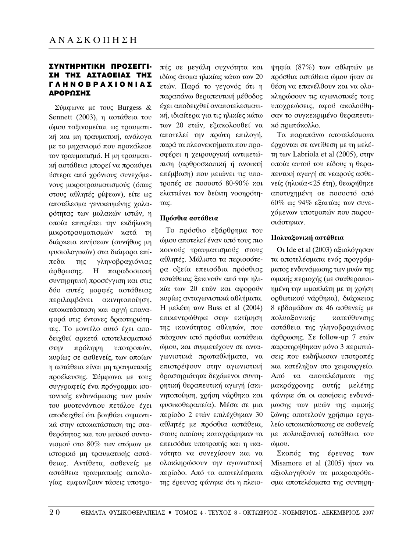## ΣΥΝΤΗΡΗΤΙΚΗ ΠΡΟΣΕΓΓΙ-ΣΗ ΤΗΣ ΑΣΤΑΘΕΙΑΣ ΤΗΣ ΓΛΗΝΟΒΡΑΧΙΟΝΙΑΣ ΔΡΘΡΩΣΗΣ

 $\Sigma$ ύμφωνα με τους Burgess & Sennett (2003),  $\eta$   $\alpha\sigma\tau\alpha\theta$ εια του ώμου ταξινομείται ως τραυματική και μη τραυματική, ανάλογα με το μηχανισμό που προκάλεσε τον τραυματισμό. Η μη τραυματι*κή αστάθεια μπορεί να προκύψει* ύστερα από χρόνιους συνεχόμενους μικροτραυματισμούς (όπως στους αθλητές ρίψεων), είτε ως αποτέλεσμα γενικευμένης χαλαρότητας των μαλακών ιστών, η οποία επιτρέπει την εκδήλωση μικροτραυματισμών κατά τη διάρκεια κινήσεων (συνήθως μη φυσιολογικών) στα διάφορα επίπεδα της γληνοβραχιόνιας άρθρωσης. Η παραδοσιακή συντηρητική προσέγγιση και στις δύο αυτές μορφές αστάθειας περιλαμβάνει ακινητοποίηση, αποκατάσταση και αργή επαναφορά στις έντονες δραστηριότητες. Το μοντέλο αυτό έχει αποδειχθεί αρκετά αποτελεσματικό στην πρόληψη υποτροπών, κυρίως σε ασθενείς, των οποίων η αστάθεια είναι μη τραυματικής προέλευσης. Σύμφωνα με τους συγγραφείς ένα πρόγραμμα ισοτονικής ενδυνάμωσης των μυών του μυοτενόντιου πετάλου έχει αποδειχθεί ότι βοηθάει σημαντικά στην αποκατάσταση της σταθερότητας και του μυϊκού συντονισμού στο 80% των ατόμων με ιστορικό μη τραυματικής αστάθειας. Αντίθετα, ασθενείς με αστάθεια τραυματικής αιτιολογίας εμφανίζουν τάσεις υποτροπής σε μεγάλη συχνότητα και ιδίως άτομα ηλικίας κάτω των 20 ετών. Παρά το γεγονός ότι η παραπάνω θεραπευτική μέθοδος έχει αποδειχθεί αναποτελεσματική, ιδιαίτερα για τις ηλικίες κάτω των 20 ετών, εξακολουθεί να αποτελεί την πρώτη επιλογή, παρά τα πλεονεκτήματα που προσφέρει η χειρουργική αντιμετώπιση (αρθροσκοπική ή ανοικτή επέμβαση) που μειώνει τις υποτροπές σε ποσοστό 80-90% και ελαττώνει τον δείκτη νοσηρότη- $\tau\alpha\varsigma$ .

## **Πρόσθια αστάθεια**

Το πρόσθιο εξάρθρημα του ώμου αποτελεί έναν από τους πιο κοινούς τραυματισμούς στους αθλητές. Μάλιστα τα περισσότερα οξεία επεισόδια πρόσθιας αστάθειας ξεκινούν από την ηλικία των 20 ετών και αφορούν κυρίως ανταγωνιστικά αθλήματα.  $H$  μελέτη των Buss et al (2004) επικεντρώθηκε στην εκτίμηση της ικανότητας αθλητών, που πάσχουν από πρόσθια αστάθεια ώμου, και συμμετέγουν σε ανταγωνιστικά πρωταθλήματα, να επιστρέψουν στην αγωνιστική δραστηριότητα δεχόμενοι συντηοητική θεραπευτική αγωγή (ακινητοποίηση, χρήση νάρθηκα και φυσικοθεραπεία). Μέσα σε μια περίοδο 2 ετών επιλέχθηκαν 30 αθλητές με πρόσθια αστάθεια, στους οποίους καταγράφηκαν τα επεισόδια υποτροπής και η ικανότητα να συνεχίσουν και να ολοκληρώσουν την αγωνιστική περίοδο. Από τα αποτελέσματα της έρευνας φάνηκε ότι η πλειο-

 $\psi$ ηφία (87%) των αθλητών με πρόσθια αστάθεια ώμου ήταν σε θέση να επανέλθουν και να ολοκληρώσουν τις αγωνιστικές τους υποχρεώσεις, αφού ακολούθησαν το συγκεκριμένο θεραπευτικό πρωτό κολλο.

Τα παραπάνω αποτελέσματα ερχονται σε αντίθεση με τη μελέτη των Labriola et al  $(2005)$ , στην οποία αυτού του είδους η θεραπευτική αγωγή σε νεαρούς ασθενείς (ηλικία<25 έτη), θεωρήθηκε αποτυχημένη σε ποσοστό από  $60\%$  ως 94% εξαιτίας των συνεχόμενων υποτροπών που παρουσιάστηκαν.

### **Πολυαξονική αστάθεια**

Oι Ide et al (2003) αξιολόγησαν τα αποτελέσματα ενός προγράμματος ενδυνάμωσης των μυών της ωμικής περιογής (με σταθεροποιημένη την ωμοπλάτη με τη χρήση ορθωτικού νάρθηκα), διάρκειας 8 εβδομάδων σε 46 ασθενείς με πολυαξονικής κατεύθυνσης αστάθεια της γληνοβραχιόνιας άρθρωσης. Σε follow-up 7 ετών παρατηρήθηκαν μόνο 3 περιπτώσεις που εκδήλωσαν υποτροπές και κατέληξαν στο χειρουργείο. Από τα αποτελέσματα της μακρόχρονης αυτής μελέτης φάνηκε ότι οι ασκήσεις ενδυνάμωσης των μυών της ωμικής ζώνης αποτελούν χρήσιμο εργαλείο αποκατάστασης σε ασθενείς με πολυαξονική αστάθεια του ώμου.

Σκοπός της έρευνας των Misamore et al  $(2005)$  ήταν να αξιολογηθούν τα μακροπρόθεσμα αποτελέσματα της συντηρη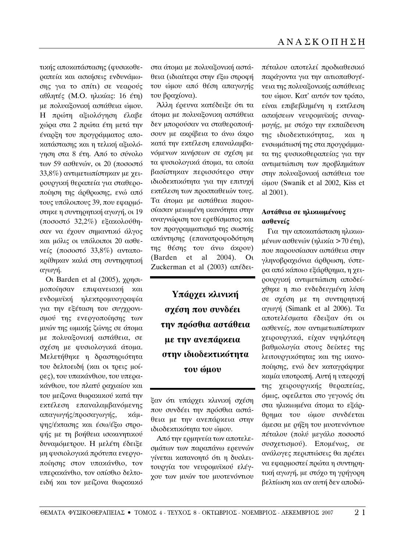τικής αποκατάστασης (φυσικοθεραπεία και ασκήσεις ενδυνάμωσης για το σπίτι) σε νεαρούς αθλητές (Μ.Ο. ηλικίας: 16 έτη) με πολυαξονική αστάθεια ώμου. Η πρώτη αξιολόγηση έλαβε χώρα στα 2 πρώτα έτη μετά την έναρξη του προγράμματος αποκατάστασης και η τελική αξιολόγηση στα 8 έτη. Από το σύνολο των 59 ασθενών, οι 20 (ποσοστό  $33,8%$ ) αντιμετωπίστηκαν με χειρουργική θεραπεία για σταθεροποίηση της άρθρωσης, ενώ από τους υπόλοιπους 39, που εφαρμόστηκε η συντηρητική αγωγή, οι 19 (ποσοστό 32,2%) εξακολούθησαν να έχουν σημαντικό άλγος  $x\alpha$ ι μόλις οι υπόλοιποι 20  $\alpha\sigma\theta$ ενείς (ποσοστό 33,8%) ανταποκρίθηκαν καλά στη συντηρητική αγωγή.

Oι Barden et al  $(2005)$ , χρησιμοποίησαν επιφανειακή και ενδομυϊκή ηλεκτρομυογραφία για την εξέταση του συγχρονισμού της ενεργοποίησης των μυών της ωμικής ζώνης σε άτομα με πολυαξονική αστάθεια, σε σχέση με φυσιολογικά άτομα. Μελετήθηκε η δραστηριότητα του δελτοειδή (και οι τρεις μοίρες), του υπακάνθιου, του υπερακάνθιου, του πλατύ ραχιαίου και του μείζονα θωρακικού κατά την εκτέλεση επαναλαμβανόμενης απαγωγής/προσαγωγής, κάμψης/έκτασης και έσω/έξω στροφής με τη βοήθεια ισοχινητιχού δυναμόμετρου. Η μελέτη έδειξε μη φυσιολογικά πρότυπα ενεργοποίησης στον υπακάνθιο, τον υπερακάνθιο, τον οπίσθιο δελτοειδή και τον μείζονα θωρακικό

στα άτομα με πολυαξονική αστάθεια (ιδιαίτερα στην έξω στροφή του ώμου από θέση απαγωγής του βραχίονα).

Άλλη έρευνα κατέδειξε ότι τα άτομα με πολυαξονικη αστάθεια δεν μπορούσαν να σταθεροποιήσουν με ακρίβεια το άνω άκρο κατά την εκτέλεση επαναλαμβανόμενων κινήσεων σε σχέση με τα φυσιολογικά άτομα, τα οποία βασίστηκαν περισσότερο στην ιδιοδεκτικότητα για την επιτυχή εκτέλεση των προσπαθειών τους. Τα άτομα με αστάθεια παρουσίασαν μειωμένη ικανότητα στην αναγνώριση του ερεθίσματος και τον προγραμματισμό της σωστής απάντησης (επανατροφοδότηση της θέσης του άνω άκρου) (Barden et al  $2004$ ). Ou Zuckerman et al (2003) απέδει-

> Υπάρχει κλινική **σχέση που συνδέει την πρόσθια αστάθεια** με την ανεπάρχεια **στην ιδιοδεκτικότητα του ώμου**

ξαν ότι υπάρχει κλινική σχέση που συνδέει την πρόσθια αστάθεια με την ανεπάρχεια στην ιδιοδεκτικότητα του ώμου.

Aπό την ερμηνεία των αποτελεσμάτων των παραπάνω ερευνών γίνεται κατανοητό ότι η δυσλειτουργία του νευρομυϊκού ελέγχου των μυών του μυοτενόντιου πέταλου αποτελεί προδιαθεσικό παράγοντα για την αιτιοπαθογένεια της πολυαξονικής αστάθειας του ώμου. Κατ' αυτόν τον τρόπο, είναι επιβεβλημένη η εκτέλεση ασκήσεων νευρομυϊκής συναρμογής, με στόχο την εκπαίδευση της ιδιοδεκτικότητας, και η ενσωμάτωσή της στα προγράμματα της φυσικοθεραπείας για την αντιμετώπιση των προβλημάτων στην πολυαξονική αστάθεια του ώμου (Swanik et al 2002, Kiss et al 2001).

## **Αστάθεια σε ηλικιωμένους** *<u>ασθενείς</u>*

Για την αποκατάσταση ηλικιωμένων ασθενών (ηλικία >70 έτη), που παρουσίασαν αστάθεια στην γληνοβραχιόνια άρθρωση, ύστερα από κάποιο εξάρθρημα, η χειρουργική αντιμετώπιση αποδείχθηκε η πιο ενδεδειγμένη λύση σε σχέση με τη συντηρητική  $αγωγη$  (Simank et al 2006). Τα αποτελέσματα έδειξαν ότι οι ασθενείς, που αντιμετωπίστηκαν γειρουργικά, είχαν υψηλότερη βαθμολογία στους δείκτες της λειτουργικότητας και της ικανοποίησης, ενώ δεν καταγράφηκε καμία υποτροπή. Αυτή η υπεροχή της χειρουργικής θεραπείας, όμως, οφείλεται στο γεγονός ότι στα ηλικιωμένα άτομα το εξάρθρημα του ώμου συνδέεται άμεσα με ρήξη του μυοτενόντιου πέταλου (πολύ μεγάλο ποσοστό συσχετισμού). Επομένως, σε ανάλογες περιπτώσεις θα πρέπει να εφαρμοστεί πρώτα η συντηρητική αγωγή, με στόχο τη γρήγορη βελτίωση και αν αυτή δεν αποδώ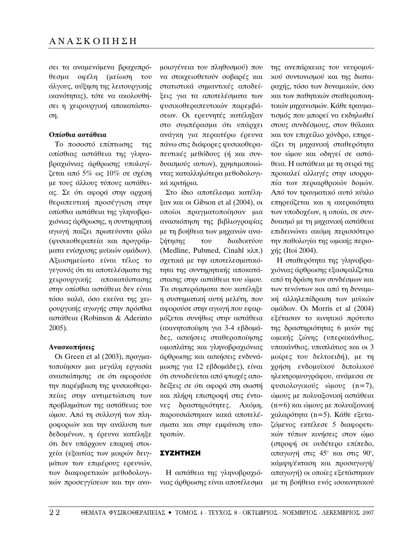σει τα αναμενόμενα βραχυπρόθεσμα οφέλη (μείωση του άλγους, αύξηση της λειτουργικής ικανότητας), τότε να ακολουθήσει η χειρουργική αποκατάσταση.

### Οπίσθια αστάθεια

Το ποσοστό επίπτωσης της οπίσθιας αστάθεια της γληνοβραχιόνιας άρθρωσης υπολογί- $\zeta$ εται από 5% ως 10% σε σχέση με τους άλλους τύπους αστάθειας. Σε ότι αφορά στην αρχική θεραπευτική προσέγγιση στην οπίσθια αστάθεια της γληνοβραγιόνιας άρθρωσης, η συντηρητική αγωγή παίζει πρωτεύοντα ρόλο (φυσικοθεραπεία και προγράμματα ενίσχυσης μυϊκών ομάδων). Αξιοσημείωτο είναι τέλος το γεγονός ότι τα αποτελέσματα της χειρουργικής αποκατάστασης στην οπίσθια αστάθεια δεν είναι τόσο καλά, όσο εκείνα της χειρουργικής αγωγής στην πρόσθια αστάθεια (Robinson & Aderinto 2005).

#### $A$ νασκοπήσεις

Οι Green et al (2003), πραγματοποίησαν μια μεγάλη εργασία ανασκόπησης σε ότι αφορούσε την παρέμβαση της φυσικοθεραπείας στην αντιμετώπιση των προβλημάτων της αστάθειας του  $\omega$ ύμου. Από τη συλλογή των πληροφοριών και την ανάλυση των δεδομένων, η έρευνα κατέληξε ότι δεν υπάρχουν επαρκή στοιγεία (εξαιτίας των μικρών δειγμάτων των επιμέρους ερευνών, των διαφορετικών μεθοδολογικών προσεγγίσεων και την ανομοιογένεια του πληθυσμού) που να στοιχειοθετούν σοβαρές και στατιστικά σημαντικές αποδείξεις για τα αποτελέσματα των φυσικοθεραπευτικών παρεμβάσεων. Οι ερευνητές κατέληξαν στο συμπέρασμα ότι υπάρχει ανάγκη για περαιτέρω έρευνα πάνω στις διάφορες φυσικοθεραπευτικές μεθόδους (ή και συνδυασμούς αυτων), χρησιμοποιώντας καταλληλότερα μεθοδολογικά κριτήρια.

Στο ίδιο αποτέλεσμα κατέληξαν και οι Gibson et al  $(2004)$ , οι οποίοι πραγματοποίησαν μια ανασκόπηση της βιβλιογραφίας με τη βοήθεια των μηχανών ανα- $\zeta$ ήτησης του διαδικτύου (Medline, Pubmed, Cinahl  $\alpha\lambda\pi$ .) σχετικά με την αποτελεσματικότητα της συντηρητικής αποκατάστασης στην αστάθεια του ώμου. Τα συμπεράσματα που κατέληξε η συστηματική αυτή μελέτη, που αφορούσε στην αγωγή που εφαρμόζεται συνήθως στην αστάθεια (ακινητοποίηση για 3-4 εβδομάδες, ασκήσεις σταθεροποίησης ωμοπλάτης και γληνοβραχιόνιας άρθρωσης και ασκήσεις ενδυνάμωσης για 12 εβδομάδες), είναι ότι συνοδεύεται από φτωχές αποδείξεις σε ότι αφορά στη σωστή και πλήρη επιστροφή στις έντονες δραστηριότητες. Ακόμη, παρουσιάστηκαν κακά αποτελέσματα και στην εμφάνιση υποτροπών.

## ∑ΥΖΗΤΗΣΗ

Η αστάθεια της γληνοβραχιόνιας άρθρωσης είναι αποτέλεσμα της ανεπάρχειας του νευρομυϊκού συντονισμού και της διαταραχής, τόσο των δυναμικών, όσο και των παθητικών σταθεροποιητικών μηχανισμών. Κάθε τραυματισμός που μπορεί να εκδηλωθεί στους συνδέσμους, στον θύλακα και τον επιχείλιο χόνδρο, επηρεάζει τη μηχανική σταθερότητα του ώμου και οδηγεί σε αστάθεια. Η αστάθεια με τη σειρά της προκαλεί αλλαγές στην ισορροπία των περιαρθρικών δομών. Aπό τον τραυματικό αυτό κύκλο επηρεάζεται και η ακεραιότητα των υποδοχέων, η οποία, σε συνδυασμό με τη μηχανική αστάθεια επιδεινώνει ακόμη περισσότερο την παθολογία της ωμικής περιο $χ$ ής (Itoi 2004).

Η σταθερότητα της γληνοβραγιόνιας άρθρωσης εξασφαλίζεται από τη δράση των συνδέσμων και των τενόντων και από τη δυναμική αλληλεπίδραση των μυϊκών ομάδων. Oι Morris et al  $(2004)$ εξέτασαν το κινητικό πρότυπο της δραστηριότητας 6 μυών της ωμικής ζώνης (υπερακάνθιος, υπακάνθιος, υποπλάτιος και οι 3 μοίρες του δελτοειδή), με τη γρήση ενδομυϊκού διπολικού ηλεκτρομυογράφου, ανάμεσα σε φυσιολογικούς ώμους (n=7), ώμους με πολυαξονική αστάθεια  $(n=6)$  και ώμους με πολυαξονική γαλαρότητα (n=5). Κάθε εξεταζόμενος εκτέλεσε 5 διαφορετι- $X$ ών τύπων κινήσεις στον ώμο (στροφή σε ουδέτερο επίπεδο, απαγωγή στις  $45^\circ$  και στις  $90^\circ,$ κάμψη/έκταση και προσαγωγή/ απαγωγή) οι οποίες εξετάστηκαν με τη βοήθεια ενός ισοκινητικού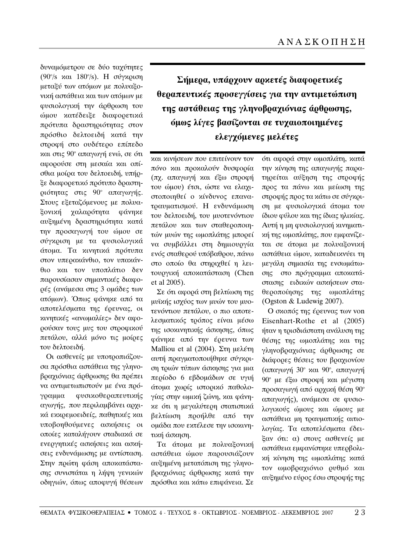δυναμόμετρου σε δύο ταχύτητες (90°/s και 180°/s). Η σύγκριση μεταξύ των ατόμων με πολυαξονική αστάθεια και των ατόμων με φυσιολογική την άρθρωση του ώμου κατέδειξε διαφορετικά πρότυπα δραστηριότητας στον πρόσθιο δελτοειδή κατά την στροφή στο ουδέτερο επίπεδο και στις 90° απαγωγή ενώ, σε ότι αφορούσε στη μεσαία και οπίσθια μοίρα του δελτοειδή, υπήρξε διαφορετικό πρότυπο δραστηριότητας στις 90° απαγωγής. Στους εξεταζόμενους με πολυαξονική χαλαρότητα φάνηκε αυξημένη δραστηριότητα κατά την προσαγωγή του ώμου σε σύγκριση με τα φυσιολογικά άτομα. Τα κινητικά πρότυπα στον υπερακάνθιο, τον υπακάνθιο και τον υποπλάτιο δεν παρουσίασαν σημαντικές διαφορές (ανάμεσα στις 3 ομάδες των ατόμων). Όπως φάνηκε από τα αποτελέσματα της έρευνας, οι κινητικές «ανωμαλίες» δεν αφορούσαν τους μυς του στροφικού πετάλου, αλλά μόνο τις μοίρες του δελτοειδή.

Οι ασθενείς με υποτροπιάζουσα πρόσθια αστάθεια της γληνοβραχιόνιας άρθρωσης θα πρέπει να αντιμετωπιστούν με ένα πρόγραμμα φυσικοθεραπευτικής αγωγής, που περιλαμβάνει αρχικά εκκρεμοειδείς, παθητικές και υποβοηθούμενες ασκήσεις οι οποίες καταλήγουν σταδιακά σε ενεργητικές ασκήσεις και ασκήσεις ενδυνάμωσης με αντίσταση. Στην πρώτη φάση αποκατάστασης συνιστάται η λήψη γενικών οδηγιών, όπως αποφυγή θέσεων

**Σήμερα, υπάρχουν αρχετές διαφορετικές** θεραπευτικές προσεγγίσεις για την αντιμετώπιση **της αστάθειας της γληνοβραχιόνιας άρθρωσης, όμως λίγες βασίζονται σε τυχαιοποιημένες** ελεγχόμενες μελέτες

και κινήσεων που επιτείνουν τον πόνο και προκαλούν δυσφορία (πχ. απαγωγή και έξω στροφή του ώμου) έτσι, ώστε να ελαχιστοποιηθεί ο κίνδυνος επανατραυματισμού. Η ενδυνάμωση του δελτοειδή, του μυοτενόντιου πετάλου και των σταθεροποιητών μυών της ωμοπλάτης μπορεί να συμβάλλει στη δημιουργία ενός σταθερού υπόβαθρου, πάνω στο οποίο θα στηριχθεί η λειτουργική αποκατάσταση (Chen et al 2005).

Σε ότι αφορά στη βελτίωση της μυϊκής ισχύος των μυών του μυοτενόντιου πετάλου, ο πιο αποτελεσματικός τρόπος είναι μέσω της ισοκινητικής άσκησης, όπως φάνηκε από την έρευνα των Malliou et al (2004).  $\Sigma \tau \eta$  μελέτη αυτή πραγματοποιήθηκε σύγκριση τριών τύπων άσκησης για μια περίοδο 6 εβδομάδων σε υγιή άτομα χωρίς ιστορικό παθολογίας στην ωμική ζώνη, και φάνηκε ότι η μεγαλύτερη στατιστικά βελτίωση προήλθε από την ομάδα που εκτέλεσε την ισοκινητική άσκηση.

Tα άτομα με πολυαξονική αστάθεια ώμου παρουσιάζουν αυξημένη μετατόπιση της γληνοβραχιόνιας άρθρωσης κατά την πρόσθια και κάτω επιφάνεια. Σε ότι αφορά στην ωμοπλάτη, κατά την κίνηση της απαγωγής παρατηρείται αύξηση της στροφής προς τα πάνω και μείωση της στροφής προς τα κάτω σε σύγκριση με φυσιολογικά άτομα του ίδιου φύλου και της ίδιας ηλικίας. Αυτή η μη φυσιολογική κινηματική της ωμοπλάτης, που εμφανίζεται σε άτομα με πολυαξονική αστάθεια ώμου, καταδεικνύει τη μεγάλη σημασία της ενσωμάτωσης στο πρόγραμμα αποκατάστασης ειδικών ασκήσεων σταθεροποίησης της ωμοπλάτης (Ogston & Ludewig 2007).

Ο σκοπός της έρευνας των von Eisenhart-Rothe et al (2005) ήταν η τρισδιάστατη ανάλυση της θέσης της ωμοπλάτης και της γληνοβραχιόνιας άρθρωσης σε διάφορες θέσεις του βραχιονίου  $(\alpha$ παγωγή 30<sup>°</sup> και 90<sup>°</sup>, απαγωγή 90° με έξω στροφή και μέγιστη προσαγωγή από αρχική θέση 90° απαγωγής), ανάμεσα σε φυσιολογικούς ώμους και ώμους με αστάθεια μη τραυματικής αιτιολογίας. Τα αποτελέσματα έδειξαν ότι: α) στους ασθενείς με αστάθεια εμφανίστηκε υπερβολική κίνηση της ωμοπλάτης κατά τον ωμοβραχιόνιο ρυθμό και αυξημένο εύρος έσω στροφής της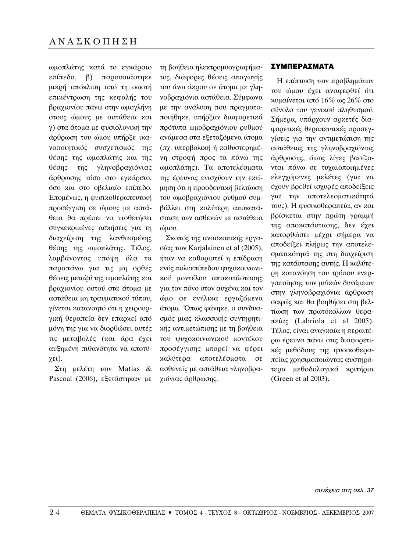ωμοπλάτης κατά το εγκάρσιο επίπεδο, β) παρουσιάστηκε μικρή απόκλιση από τη σωστή επικέντρωση της κεφαλής του βραχιονίου πάνω στην ωμογλήνη στους ώμους με αστάθεια και γ) στα άτομα με φυσιολογική την άρθρωση του ώμου υπήρξε ικανοποιητικός συσχετισμός της θέσης της ωμοπλάτης και της θέσης της γληνοβραχιόνιας άρθρωσης τόσο στο εγκάρσιο, όσο και στο οβελιαίο επίπεδο. Επομένως, η φυσικοθεραπευτική προσέγγιση σε ώμους με αστάθεια θα πρέπει να υιοθετήσει συγκεκριμένες ασκήσεις για τη διαχείριση της λανθασμένης θέσης της ωμοπλάτης. Τέλος, λαμβάνοντας υπόψη όλα τα παραπάνω για τις μη ορθές θέσεις μεταξύ της ωμοπλάτης και βραχιονίου οστού στα άτομα με αστάθεια μη τραυματικού τύπου, γίνεται κατανοητό ότι η χειρουργική θεραπεία δεν επαρκεί από μόνη της για να διορθώσει αυτές τις μεταβολές (και άρα έχει αυξημένη πιθανότητα να αποτύ- $\chi \epsilon \iota$ ).

 $\Sigma$ τη μελέτη των Matias & Pascoal (2006),  $\epsilon \xi \epsilon \tau \alpha \sigma \eta \gamma \alpha \nu$   $\mu \epsilon$  τη βοήθεια ηλεκτρομυογραφήματος, διάφορες θέσεις απαγωγής του άνω άκρου σε άτομα με γληνοβραχιόνια αστάθεια. Σύμφωνα με την ανάλυση που πραγματοποιήθηκε, υπήρξαν διαφορετικά πρότυπα ωμοβραχιόνιου ρυθμού ανάμεσα στα εξεταζόμενα άτομα (πχ. υπερβολική ή καθυστερημένη στροφή προς τα πάνω της ωμοπλάτης). Τα αποτελέσματα της έρευνας ενισχύουν την εκτίμηση ότι η προοδευτική βελτίωση του ωμοβραχιόνιου ρυθμού συμβάλλει στη καλύτερη αποκατάσταση των ασθενών με αστάθεια ώuου.

Σκοπός της ανασκοπικής εργασίας των Karjalainen et al  $(2005)$ , ήταν να καθοριστεί η επίδραση ενός πολυεπίπεδου ψυγοκοινωνικού μοντέλου αποκατάστασης για τον πόνο στον αυχένα και τον ώμο σε ενήλικα εργαζόμενα άτομα. Όπως φάνηκε, ο συνδυασμός μιας κλασσικής συντηρητι $x$ ής αντιμετώπισης με τη βοήθεια του ψυχοκοινωνικού μοντέλου προσέγγισης μπορεί να φέρει καλύτερα αποτελέσματα σε ασθενείς με αστάθεια γληνοβραγιόνιας άρθρωσης.

## ∑ΥΜΠΕΡΑΣΜΑΤΑ

Η επίπτωση των προβλημάτων του ώμου έχει αναφερθεί ότι κυμαίνεται από  $16\%$  ως  $26\%$  στο σύνολο του γενικού πληθυσμού. Σήμερα, υπάρχουν αρκετές διαφορετικές θεραπευτικές προσεγγίσεις για την αντιμετώπιση της αστάθειας της γληνοβραχιόνιας άρθρωσης, όμως λίγες βασίζονται πάνω σε τυχαιοποιημένες ελεγχόμενες μελέτες (για να έχουν βρεθεί ισχυρές αποδείξεις για την αποτελεσματικότητά τους). Η φυσικοθεραπεία, αν και βρίσκεται στην πρώτη γραμμή της αποκατάστασης, δεν έχει κατορθώσει μέχρι σήμερα να αποδείξει πλήρως την αποτελεσματικότητά της στη διαχείριση της κατάστασης αυτής. Η καλύτεοη κατανόηση του τρόπου ενεργοποίησης των μυϊκών δυνάμεων στην γληνοβραχιόνια άρθρωση σαφώς και θα βοηθήσει στη βελτίωση των πρωτόκολλων θερα- $\pi \varepsilon \alpha \varsigma$  (Labriola et al 2005). Τέλος, είναι αναγκαία η περαιτέρω έρευνα πάνω στις διαφορετικές μεθόδους της φυσικοθεραπείας χρησιμοποιώντας αυστηρότερα μεθοδολογικά κριτήρια (Green et al 2003).

*Û˘Ó¤¯ÂÈ· ÛÙË ÛÂÏ. 37*